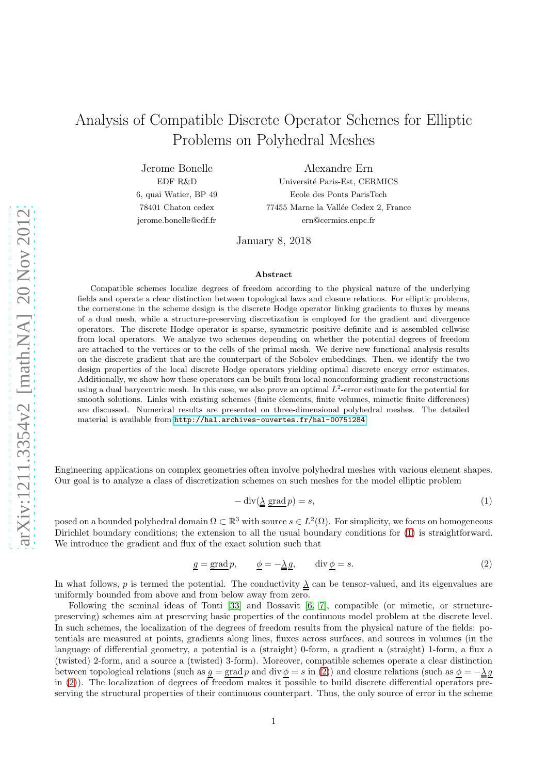## Analysis of Compatible Discrete Operator Schemes for Elliptic Problems on Polyhedral Meshes

Jerome Bonelle Alexandre Ern EDF R&D Université Paris-Est, CERMICS 6, quai Watier, BP 49 Ecole des Ponts ParisTech 78401 Chatou cedex 77455 Marne la Vallée Cedex 2, France jerome.bonelle@edf.fr ern@cermics.enpc.fr

January 8, 2018

## Abstract

Compatible schemes localize degrees of freedom according to the physical nature of the underlying fields and operate a clear distinction between topological laws and closure relations. For elliptic problems, the cornerstone in the scheme design is the discrete Hodge operator linking gradients to fluxes by means of a dual mesh, while a structure-preserving discretization is employed for the gradient and divergence operators. The discrete Hodge operator is sparse, symmetric positive definite and is assembled cellwise from local operators. We analyze two schemes depending on whether the potential degrees of freedom are attached to the vertices or to the cells of the primal mesh. We derive new functional analysis results on the discrete gradient that are the counterpart of the Sobolev embeddings. Then, we identify the two design properties of the local discrete Hodge operators yielding optimal discrete energy error estimates. Additionally, we show how these operators can be built from local nonconforming gradient reconstructions using a dual barycentric mesh. In this case, we also prove an optimal  $L^2$ -error estimate for the potential for smooth solutions. Links with existing schemes (finite elements, finite volumes, mimetic finite differences) are discussed. Numerical results are presented on three-dimensional polyhedral meshes. The detailed material is available from <http://hal.archives-ouvertes.fr/hal-00751284>

Engineering applications on complex geometries often involve polyhedral meshes with various element shapes. Our goal is to analyze a class of discretization schemes on such meshes for the model elliptic problem

<span id="page-0-0"></span>
$$
-\operatorname{div}(\underline{\lambda}\,\operatorname{grad} p) = s,\tag{1}
$$

posed on a bounded polyhedral domain  $\Omega \subset \mathbb{R}^3$  with source  $s \in L^2(\Omega)$ . For simplicity, we focus on homogeneous Dirichlet boundary conditions; the extension to all the usual boundary conditions for [\(1\)](#page-0-0) is straightforward. We introduce the gradient and flux of the exact solution such that

<span id="page-0-1"></span>
$$
g = \text{grad } p, \qquad \phi = -\underline{\lambda} g, \qquad \text{div } \phi = s. \tag{2}
$$

In what follows, p is termed the potential. The conductivity  $\lambda$  can be tensor-valued, and its eigenvalues are uniformly bounded from above and from below away from zero.

Following the seminal ideas of Tonti [\[33\]](#page-4-0) and Bossavit [\[6,](#page-3-0) [7\]](#page-3-1), compatible (or mimetic, or structurepreserving) schemes aim at preserving basic properties of the continuous model problem at the discrete level. In such schemes, the localization of the degrees of freedom results from the physical nature of the fields: potentials are measured at points, gradients along lines, fluxes across surfaces, and sources in volumes (in the language of differential geometry, a potential is a (straight) 0-form, a gradient a (straight) 1-form, a flux a (twisted) 2-form, and a source a (twisted) 3-form). Moreover, compatible schemes operate a clear distinction between topological relations (such as  $g = \text{grad } p$  and div  $\phi = s$  in [\(2\)](#page-0-1)) and closure relations (such as  $\phi = -\frac{\lambda}{g}$ in [\(2\)](#page-0-1)). The localization of degrees of freedom makes it possible to build discrete differential operators preserving the structural properties of their continuous counterpart. Thus, the only source of error in the scheme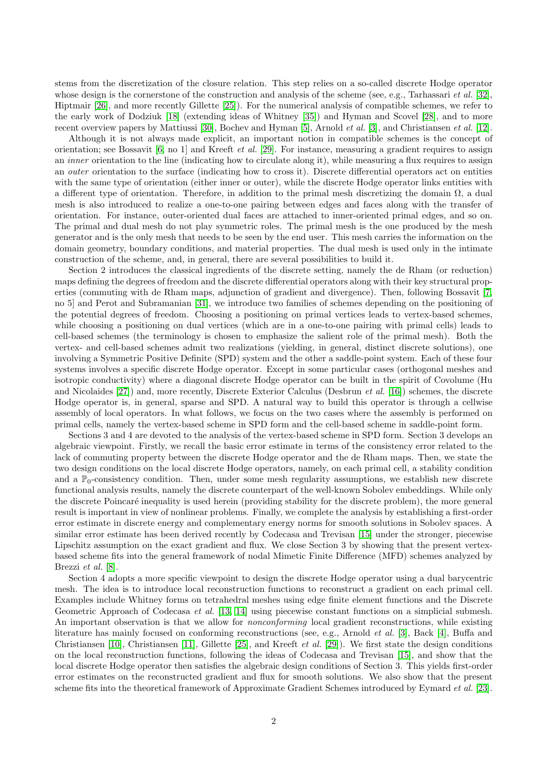stems from the discretization of the closure relation. This step relies on a so-called discrete Hodge operator whose design is the cornerstone of the construction and analysis of the scheme (see, e.g., Tarhassari et al. [\[32\]](#page-4-1), Hiptmair [\[26\]](#page-4-2), and more recently Gillette [\[25\]](#page-4-3)). For the numerical analysis of compatible schemes, we refer to the early work of Dodziuk [\[18\]](#page-3-2) (extending ideas of Whitney [\[35\]](#page-4-4)) and Hyman and Scovel [\[28\]](#page-4-5), and to more recent overview papers by Mattiussi [\[30\]](#page-4-6), Bochev and Hyman [\[5\]](#page-3-3), Arnold et al. [\[3\]](#page-2-0), and Christiansen et al. [\[12\]](#page-3-4).

Although it is not always made explicit, an important notion in compatible schemes is the concept of orientation; see Bossavit  $[6, no 1]$  and Kreeft *et al.* [\[29\]](#page-4-7). For instance, measuring a gradient requires to assign an *inner* orientation to the line (indicating how to circulate along it), while measuring a flux requires to assign an outer orientation to the surface (indicating how to cross it). Discrete differential operators act on entities with the same type of orientation (either inner or outer), while the discrete Hodge operator links entities with a different type of orientation. Therefore, in addition to the primal mesh discretizing the domain  $\Omega$ , a dual mesh is also introduced to realize a one-to-one pairing between edges and faces along with the transfer of orientation. For instance, outer-oriented dual faces are attached to inner-oriented primal edges, and so on. The primal and dual mesh do not play symmetric roles. The primal mesh is the one produced by the mesh generator and is the only mesh that needs to be seen by the end user. This mesh carries the information on the domain geometry, boundary conditions, and material properties. The dual mesh is used only in the intimate construction of the scheme, and, in general, there are several possibilities to build it.

Section 2 introduces the classical ingredients of the discrete setting, namely the de Rham (or reduction) maps defining the degrees of freedom and the discrete differential operators along with their key structural properties (commuting with de Rham maps, adjunction of gradient and divergence). Then, following Bossavit [\[7,](#page-3-1) no 5] and Perot and Subramanian [\[31\]](#page-4-8), we introduce two families of schemes depending on the positioning of the potential degrees of freedom. Choosing a positioning on primal vertices leads to vertex-based schemes, while choosing a positioning on dual vertices (which are in a one-to-one pairing with primal cells) leads to cell-based schemes (the terminology is chosen to emphasize the salient role of the primal mesh). Both the vertex- and cell-based schemes admit two realizations (yielding, in general, distinct discrete solutions), one involving a Symmetric Positive Definite (SPD) system and the other a saddle-point system. Each of these four systems involves a specific discrete Hodge operator. Except in some particular cases (orthogonal meshes and isotropic conductivity) where a diagonal discrete Hodge operator can be built in the spirit of Covolume (Hu and Nicolaides [\[27\]](#page-4-9)) and, more recently, Discrete Exterior Calculus (Desbrun et al. [\[16\]](#page-3-5)) schemes, the discrete Hodge operator is, in general, sparse and SPD. A natural way to build this operator is through a cellwise assembly of local operators. In what follows, we focus on the two cases where the assembly is performed on primal cells, namely the vertex-based scheme in SPD form and the cell-based scheme in saddle-point form.

Sections 3 and 4 are devoted to the analysis of the vertex-based scheme in SPD form. Section 3 develops an algebraic viewpoint. Firstly, we recall the basic error estimate in terms of the consistency error related to the lack of commuting property between the discrete Hodge operator and the de Rham maps. Then, we state the two design conditions on the local discrete Hodge operators, namely, on each primal cell, a stability condition and a  $\mathbb{P}_0$ -consistency condition. Then, under some mesh regularity assumptions, we establish new discrete functional analysis results, namely the discrete counterpart of the well-known Sobolev embeddings. While only the discrete Poincaré inequality is used herein (providing stability for the discrete problem), the more general result is important in view of nonlinear problems. Finally, we complete the analysis by establishing a first-order error estimate in discrete energy and complementary energy norms for smooth solutions in Sobolev spaces. A similar error estimate has been derived recently by Codecasa and Trevisan [\[15\]](#page-3-6) under the stronger, piecewise Lipschitz assumption on the exact gradient and flux. We close Section 3 by showing that the present vertexbased scheme fits into the general framework of nodal Mimetic Finite Difference (MFD) schemes analyzed by Brezzi et al. [\[8\]](#page-3-7).

Section 4 adopts a more specific viewpoint to design the discrete Hodge operator using a dual barycentric mesh. The idea is to introduce local reconstruction functions to reconstruct a gradient on each primal cell. Examples include Whitney forms on tetrahedral meshes using edge finite element functions and the Discrete Geometric Approach of Codecasa et al. [\[13,](#page-3-8) [14\]](#page-3-9) using piecewise constant functions on a simplicial submesh. An important observation is that we allow for *nonconforming* local gradient reconstructions, while existing literature has mainly focused on conforming reconstructions (see, e.g., Arnold et al. [\[3\]](#page-2-0), Back [\[4\]](#page-2-1), Buffa and Christiansen [\[10\]](#page-3-10), Christiansen [\[11\]](#page-3-11), Gillette [\[25\]](#page-4-3), and Kreeft *et al.* [\[29\]](#page-4-7)). We first state the design conditions on the local reconstruction functions, following the ideas of Codecasa and Trevisan [\[15\]](#page-3-6), and show that the local discrete Hodge operator then satisfies the algebraic design conditions of Section 3. This yields first-order error estimates on the reconstructed gradient and flux for smooth solutions. We also show that the present scheme fits into the theoretical framework of Approximate Gradient Schemes introduced by Eymard et al. [\[23\]](#page-3-12).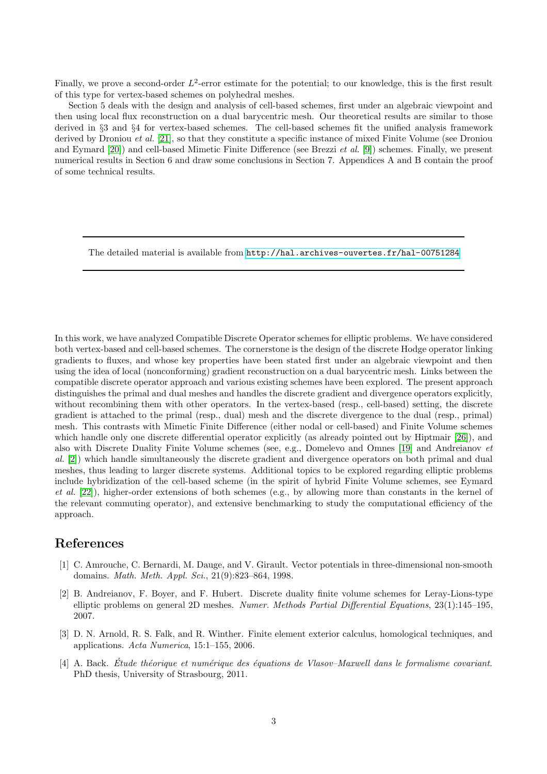Finally, we prove a second-order  $L^2$ -error estimate for the potential; to our knowledge, this is the first result of this type for vertex-based schemes on polyhedral meshes.

Section 5 deals with the design and analysis of cell-based schemes, first under an algebraic viewpoint and then using local flux reconstruction on a dual barycentric mesh. Our theoretical results are similar to those derived in §3 and §4 for vertex-based schemes. The cell-based schemes fit the unified analysis framework derived by Droniou et al. [\[21\]](#page-3-13), so that they constitute a specific instance of mixed Finite Volume (see Droniou and Eymard [\[20\]](#page-3-14)) and cell-based Mimetic Finite Difference (see Brezzi et al. [\[9\]](#page-3-15)) schemes. Finally, we present numerical results in Section 6 and draw some conclusions in Section 7. Appendices A and B contain the proof of some technical results.

The detailed material is available from <http://hal.archives-ouvertes.fr/hal-00751284>

In this work, we have analyzed Compatible Discrete Operator schemes for elliptic problems. We have considered both vertex-based and cell-based schemes. The cornerstone is the design of the discrete Hodge operator linking gradients to fluxes, and whose key properties have been stated first under an algebraic viewpoint and then using the idea of local (nonconforming) gradient reconstruction on a dual barycentric mesh. Links between the compatible discrete operator approach and various existing schemes have been explored. The present approach distinguishes the primal and dual meshes and handles the discrete gradient and divergence operators explicitly, without recombining them with other operators. In the vertex-based (resp., cell-based) setting, the discrete gradient is attached to the primal (resp., dual) mesh and the discrete divergence to the dual (resp., primal) mesh. This contrasts with Mimetic Finite Difference (either nodal or cell-based) and Finite Volume schemes which handle only one discrete differential operator explicitly (as already pointed out by Hiptmair [\[26\]](#page-4-2)), and also with Discrete Duality Finite Volume schemes (see, e.g., Domelevo and Omnes [\[19\]](#page-3-16) and Andreianov et al. [\[2\]](#page-2-2)) which handle simultaneously the discrete gradient and divergence operators on both primal and dual meshes, thus leading to larger discrete systems. Additional topics to be explored regarding elliptic problems include hybridization of the cell-based scheme (in the spirit of hybrid Finite Volume schemes, see Eymard et al. [\[22\]](#page-3-17)), higher-order extensions of both schemes (e.g., by allowing more than constants in the kernel of the relevant commuting operator), and extensive benchmarking to study the computational efficiency of the approach.

## References

- [1] C. Amrouche, C. Bernardi, M. Dauge, and V. Girault. Vector potentials in three-dimensional non-smooth domains. Math. Meth. Appl. Sci., 21(9):823–864, 1998.
- <span id="page-2-2"></span>[2] B. Andreianov, F. Boyer, and F. Hubert. Discrete duality finite volume schemes for Leray-Lions-type elliptic problems on general 2D meshes. Numer. Methods Partial Differential Equations, 23(1):145–195, 2007.
- <span id="page-2-0"></span>[3] D. N. Arnold, R. S. Falk, and R. Winther. Finite element exterior calculus, homological techniques, and applications. Acta Numerica, 15:1–155, 2006.
- <span id="page-2-1"></span>[4] A. Back. Étude théorique et numérique des équations de Vlasov–Maxwell dans le formalisme covariant. PhD thesis, University of Strasbourg, 2011.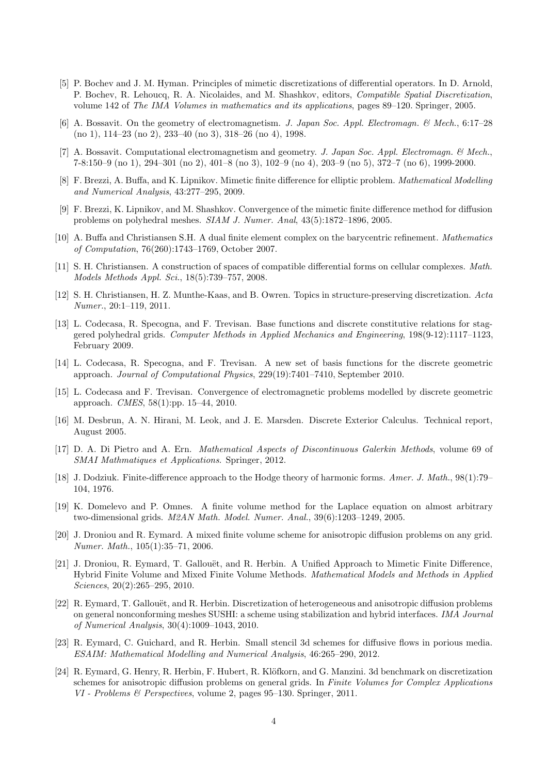- <span id="page-3-3"></span>[5] P. Bochev and J. M. Hyman. Principles of mimetic discretizations of differential operators. In D. Arnold, P. Bochev, R. Lehoucq, R. A. Nicolaides, and M. Shashkov, editors, Compatible Spatial Discretization, volume 142 of The IMA Volumes in mathematics and its applications, pages 89–120. Springer, 2005.
- <span id="page-3-1"></span><span id="page-3-0"></span>[6] A. Bossavit. On the geometry of electromagnetism. J. Japan Soc. Appl. Electromagn. & Mech., 6:17–28 (no 1), 114–23 (no 2), 233–40 (no 3), 318–26 (no 4), 1998.
- <span id="page-3-7"></span>[7] A. Bossavit. Computational electromagnetism and geometry. J. Japan Soc. Appl. Electromagn. & Mech., 7-8:150–9 (no 1), 294–301 (no 2), 401–8 (no 3), 102–9 (no 4), 203–9 (no 5), 372–7 (no 6), 1999-2000.
- [8] F. Brezzi, A. Buffa, and K. Lipnikov. Mimetic finite difference for elliptic problem. Mathematical Modelling and Numerical Analysis, 43:277–295, 2009.
- <span id="page-3-15"></span>[9] F. Brezzi, K. Lipnikov, and M. Shashkov. Convergence of the mimetic finite difference method for diffusion problems on polyhedral meshes. SIAM J. Numer. Anal, 43(5):1872–1896, 2005.
- <span id="page-3-10"></span>[10] A. Buffa and Christiansen S.H. A dual finite element complex on the barycentric refinement. Mathematics of Computation, 76(260):1743–1769, October 2007.
- <span id="page-3-11"></span>[11] S. H. Christiansen. A construction of spaces of compatible differential forms on cellular complexes. Math. Models Methods Appl. Sci., 18(5):739–757, 2008.
- <span id="page-3-4"></span>[12] S. H. Christiansen, H. Z. Munthe-Kaas, and B. Owren. Topics in structure-preserving discretization. Acta Numer., 20:1–119, 2011.
- <span id="page-3-8"></span>[13] L. Codecasa, R. Specogna, and F. Trevisan. Base functions and discrete constitutive relations for staggered polyhedral grids. Computer Methods in Applied Mechanics and Engineering, 198(9-12):1117–1123, February 2009.
- <span id="page-3-9"></span>[14] L. Codecasa, R. Specogna, and F. Trevisan. A new set of basis functions for the discrete geometric approach. Journal of Computational Physics, 229(19):7401–7410, September 2010.
- <span id="page-3-6"></span>[15] L. Codecasa and F. Trevisan. Convergence of electromagnetic problems modelled by discrete geometric approach. CMES, 58(1):pp. 15–44, 2010.
- <span id="page-3-5"></span>[16] M. Desbrun, A. N. Hirani, M. Leok, and J. E. Marsden. Discrete Exterior Calculus. Technical report, August 2005.
- [17] D. A. Di Pietro and A. Ern. Mathematical Aspects of Discontinuous Galerkin Methods, volume 69 of SMAI Mathmatiques et Applications. Springer, 2012.
- <span id="page-3-2"></span>[18] J. Dodziuk. Finite-difference approach to the Hodge theory of harmonic forms. Amer. J. Math., 98(1):79– 104, 1976.
- <span id="page-3-16"></span>[19] K. Domelevo and P. Omnes. A finite volume method for the Laplace equation on almost arbitrary two-dimensional grids. M2AN Math. Model. Numer. Anal., 39(6):1203–1249, 2005.
- <span id="page-3-14"></span>[20] J. Droniou and R. Eymard. A mixed finite volume scheme for anisotropic diffusion problems on any grid. Numer. Math., 105(1):35–71, 2006.
- <span id="page-3-13"></span>[21] J. Droniou, R. Eymard, T. Gallouët, and R. Herbin. A Unified Approach to Mimetic Finite Difference, Hybrid Finite Volume and Mixed Finite Volume Methods. Mathematical Models and Methods in Applied Sciences, 20(2):265–295, 2010.
- <span id="page-3-17"></span>[22] R. Eymard, T. Gallouët, and R. Herbin. Discretization of heterogeneous and anisotropic diffusion problems on general nonconforming meshes SUSHI: a scheme using stabilization and hybrid interfaces. IMA Journal of Numerical Analysis, 30(4):1009–1043, 2010.
- <span id="page-3-12"></span>[23] R. Eymard, C. Guichard, and R. Herbin. Small stencil 3d schemes for diffusive flows in porious media. ESAIM: Mathematical Modelling and Numerical Analysis, 46:265–290, 2012.
- [24] R. Eymard, G. Henry, R. Herbin, F. Hubert, R. Klöfkorn, and G. Manzini. 3d benchmark on discretization schemes for anisotropic diffusion problems on general grids. In Finite Volumes for Complex Applications VI - Problems & Perspectives, volume 2, pages 95–130. Springer, 2011.